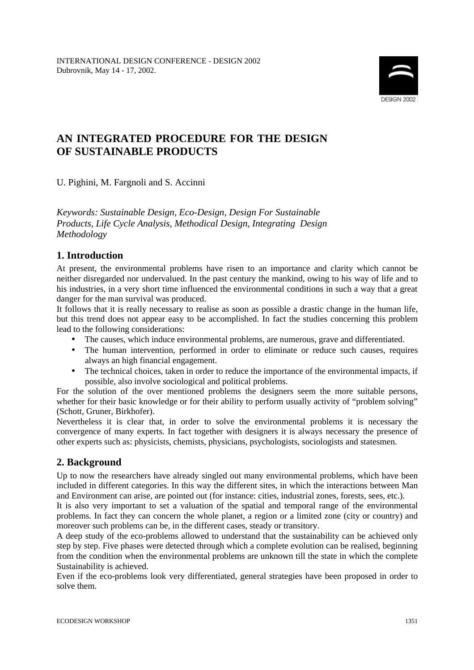

# **AN INTEGRATED PROCEDURE FOR THE DESIGN OF SUSTAINABLE PRODUCTS**

U. Pighini, M. Fargnoli and S. Accinni

*Keywords: Sustainable Design, Eco-Design, Design For Sustainable Products, Life Cycle Analysis, Methodical Design, Integrating Design Methodology*

### **1. Introduction**

At present, the environmental problems have risen to an importance and clarity which cannot be neither disregarded nor undervalued. In the past century the mankind, owing to his way of life and to his industries, in a very short time influenced the environmental conditions in such a way that a great danger for the man survival was produced.

It follows that it is really necessary to realise as soon as possible a drastic change in the human life, but this trend does not appear easy to be accomplished. In fact the studies concerning this problem lead to the following considerations:

- The causes, which induce environmental problems, are numerous, grave and differentiated.
- The human intervention, performed in order to eliminate or reduce such causes, requires always an high financial engagement.
- The technical choices, taken in order to reduce the importance of the environmental impacts, if possible, also involve sociological and political problems.

For the solution of the over mentioned problems the designers seem the more suitable persons, whether for their basic knowledge or for their ability to perform usually activity of "problem solving" (Schott, Gruner, Birkhofer).

Nevertheless it is clear that, in order to solve the environmental problems it is necessary the convergence of many experts. In fact together with designers it is always necessary the presence of other experts such as: physicists, chemists, physicians, psychologists, sociologists and statesmen.

## **2. Background**

Up to now the researchers have already singled out many environmental problems, which have been included in different categories. In this way the different sites, in which the interactions between Man and Environment can arise, are pointed out (for instance: cities, industrial zones, forests, sees, etc.).

It is also very important to set a valuation of the spatial and temporal range of the environmental problems. In fact they can concern the whole planet, a region or a limited zone (city or country) and moreover such problems can be, in the different cases, steady or transitory.

A deep study of the eco-problems allowed to understand that the sustainability can be achieved only step by step. Five phases were detected through which a complete evolution can be realised, beginning from the condition when the environmental problems are unknown till the state in which the complete Sustainability is achieved.

Even if the eco-problems look very differentiated, general strategies have been proposed in order to solve them.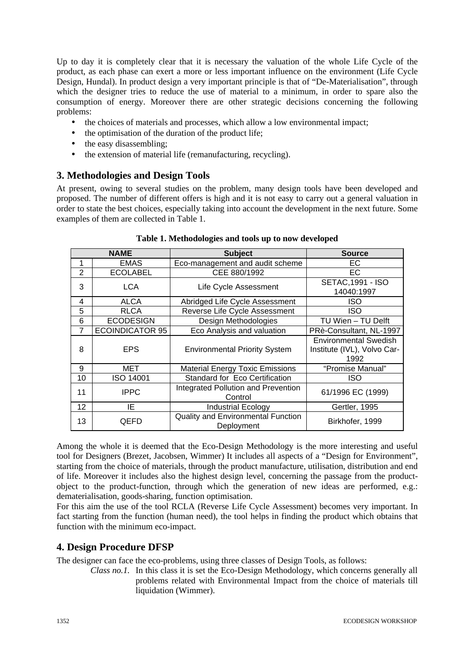Up to day it is completely clear that it is necessary the valuation of the whole Life Cycle of the product, as each phase can exert a more or less important influence on the environment (Life Cycle Design, Hundal). In product design a very important principle is that of "De-Materialisation", through which the designer tries to reduce the use of material to a minimum, in order to spare also the consumption of energy. Moreover there are other strategic decisions concerning the following problems:

- the choices of materials and processes, which allow a low environmental impact;
- the optimisation of the duration of the product life;
- the easy disassembling;
- the extension of material life (remanufacturing, recycling).

### **3. Methodologies and Design Tools**

At present, owing to several studies on the problem, many design tools have been developed and proposed. The number of different offers is high and it is not easy to carry out a general valuation in order to state the best choices, especially taking into account the development in the next future. Some examples of them are collected in Table 1.

| <b>NAME</b>    |                        | <b>Subject</b>                                          | <b>Source</b>                                                       |
|----------------|------------------------|---------------------------------------------------------|---------------------------------------------------------------------|
| 1              | <b>EMAS</b>            | Eco-management and audit scheme                         | EC.                                                                 |
| 2              | <b>ECOLABEL</b>        | CEE 880/1992                                            | EC.                                                                 |
| 3              | LCA                    | Life Cycle Assessment                                   | <b>SETAC, 1991 - ISO</b><br>14040:1997                              |
| 4              | <b>ALCA</b>            | Abridged Life Cycle Assessment                          | ISO                                                                 |
| 5              | <b>RLCA</b>            | Reverse Life Cycle Assessment                           | <b>ISO</b>                                                          |
| 6              | <b>ECODESIGN</b>       | Design Methodologies                                    | TU Wien - TU Delft                                                  |
| $\overline{7}$ | <b>ECOINDICATOR 95</b> | Eco Analysis and valuation                              | PRè-Consultant, NL-1997                                             |
| 8              | <b>EPS</b>             | <b>Environmental Priority System</b>                    | <b>Environmental Swedish</b><br>Institute (IVL), Volvo Car-<br>1992 |
| 9              | MET                    | <b>Material Energy Toxic Emissions</b>                  | "Promise Manual"                                                    |
| 10             | <b>ISO 14001</b>       | Standard for Eco Certification                          | <b>ISO</b>                                                          |
| 11             | <b>IPPC</b>            | Integrated Pollution and Prevention<br>Control          | 61/1996 EC (1999)                                                   |
| 12             | IE                     | <b>Industrial Ecology</b>                               | Gertler, 1995                                                       |
| 13             | QEFD                   | <b>Quality and Environmental Function</b><br>Deployment | Birkhofer, 1999                                                     |

**Table 1. Methodologies and tools up to now developed**

Among the whole it is deemed that the Eco-Design Methodology is the more interesting and useful tool for Designers (Brezet, Jacobsen, Wimmer) It includes all aspects of a "Design for Environment", starting from the choice of materials, through the product manufacture, utilisation, distribution and end of life. Moreover it includes also the highest design level, concerning the passage from the productobject to the product-function, through which the generation of new ideas are performed, e.g.: dematerialisation, goods-sharing, function optimisation.

For this aim the use of the tool RCLA (Reverse Life Cycle Assessment) becomes very important. In fact starting from the function (human need), the tool helps in finding the product which obtains that function with the minimum eco-impact.

### **4. Design Procedure DFSP**

The designer can face the eco-problems, using three classes of Design Tools, as follows:

*Class no.1.* In this class it is set the Eco-Design Methodology, which concerns generally all problems related with Environmental Impact from the choice of materials till liquidation (Wimmer).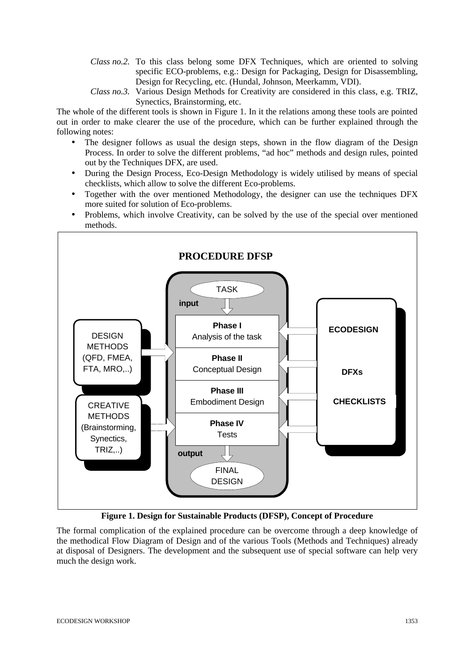- *Class no.2.* To this class belong some DFX Techniques, which are oriented to solving specific ECO-problems, e.g.: Design for Packaging, Design for Disassembling, Design for Recycling, etc. (Hundal, Johnson, Meerkamm, VDI).
- *Class no.3.* Various Design Methods for Creativity are considered in this class, e.g. TRIZ, Synectics, Brainstorming, etc.

The whole of the different tools is shown in Figure 1. In it the relations among these tools are pointed out in order to make clearer the use of the procedure, which can be further explained through the following notes:

- The designer follows as usual the design steps, shown in the flow diagram of the Design Process. In order to solve the different problems, "ad hoc" methods and design rules, pointed out by the Techniques DFX, are used.
- During the Design Process, Eco-Design Methodology is widely utilised by means of special checklists, which allow to solve the different Eco-problems.
- Together with the over mentioned Methodology, the designer can use the techniques DFX more suited for solution of Eco-problems.
- Problems, which involve Creativity, can be solved by the use of the special over mentioned methods.



**Figure 1. Design for Sustainable Products (DFSP), Concept of Procedure**

The formal complication of the explained procedure can be overcome through a deep knowledge of the methodical Flow Diagram of Design and of the various Tools (Methods and Techniques) already at disposal of Designers. The development and the subsequent use of special software can help very much the design work.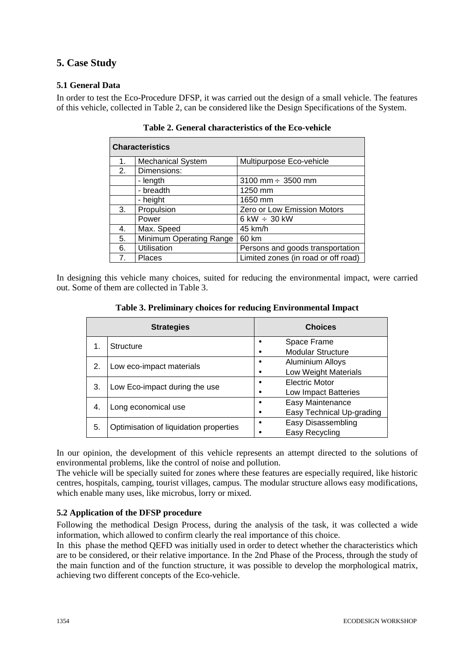## **5. Case Study**

#### **5.1 General Data**

In order to test the Eco-Procedure DFSP, it was carried out the design of a small vehicle. The features of this vehicle, collected in Table 2, can be considered like the Design Specifications of the System.

| <b>Characteristics</b> |                          |                                     |  |  |
|------------------------|--------------------------|-------------------------------------|--|--|
| 1.                     | <b>Mechanical System</b> | Multipurpose Eco-vehicle            |  |  |
| 2.                     | Dimensions:              |                                     |  |  |
|                        | - length                 | 3100 mm $\div$ 3500 mm              |  |  |
|                        | - breadth                | 1250 mm                             |  |  |
|                        | - height                 | 1650 mm                             |  |  |
| 3.                     | Propulsion               | Zero or Low Emission Motors         |  |  |
|                        | Power                    | 6 kW $\div$ 30 kW                   |  |  |
| 4.                     | Max. Speed               | 45 km/h                             |  |  |
| 5.                     | Minimum Operating Range  | 60 km                               |  |  |
| 6.                     | Utilisation              | Persons and goods transportation    |  |  |
| 7 <sub>1</sub>         | <b>Places</b>            | Limited zones (in road or off road) |  |  |

**Table 2. General characteristics of the Eco-vehicle**

In designing this vehicle many choices, suited for reducing the environmental impact, were carried out. Some of them are collected in Table 3.

|    | <b>Strategies</b>                      | <b>Choices</b>            |
|----|----------------------------------------|---------------------------|
| 1. | <b>Structure</b>                       | Space Frame               |
|    |                                        | <b>Modular Structure</b>  |
| 2. | Low eco-impact materials               | <b>Aluminium Alloys</b>   |
|    |                                        | Low Weight Materials      |
| 3. | Low Eco-impact during the use          | Electric Motor            |
|    |                                        | Low Impact Batteries      |
| 4. | Long economical use                    | Easy Maintenance          |
|    |                                        | Easy Technical Up-grading |
| 5. | Optimisation of liquidation properties | Easy Disassembling        |
|    |                                        | Easy Recycling            |

**Table 3. Preliminary choices for reducing Environmental Impact**

In our opinion, the development of this vehicle represents an attempt directed to the solutions of environmental problems, like the control of noise and pollution.

The vehicle will be specially suited for zones where these features are especially required, like historic centres, hospitals, camping, tourist villages, campus. The modular structure allows easy modifications, which enable many uses, like microbus, lorry or mixed.

### **5.2 Application of the DFSP procedure**

Following the methodical Design Process, during the analysis of the task, it was collected a wide information, which allowed to confirm clearly the real importance of this choice.

In this phase the method QEFD was initially used in order to detect whether the characteristics which are to be considered, or their relative importance. In the 2nd Phase of the Process, through the study of the main function and of the function structure, it was possible to develop the morphological matrix, achieving two different concepts of the Eco-vehicle.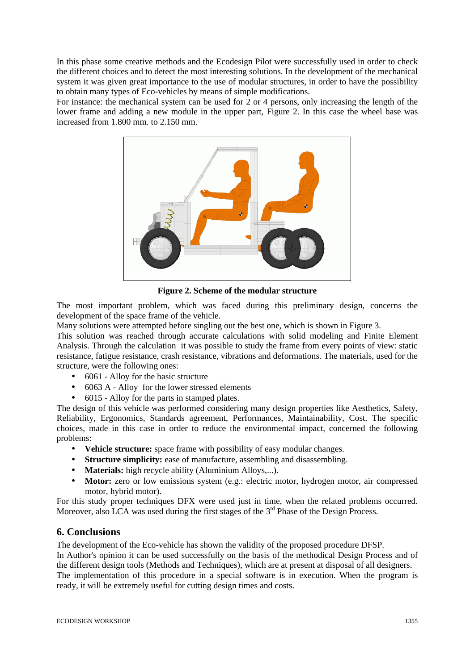In this phase some creative methods and the Ecodesign Pilot were successfully used in order to check the different choices and to detect the most interesting solutions. In the development of the mechanical system it was given great importance to the use of modular structures, in order to have the possibility to obtain many types of Eco-vehicles by means of simple modifications.

For instance: the mechanical system can be used for 2 or 4 persons, only increasing the length of the lower frame and adding a new module in the upper part, Figure 2. In this case the wheel base was increased from 1.800 mm. to 2.150 mm.



**Figure 2. Scheme of the modular structure**

The most important problem, which was faced during this preliminary design, concerns the development of the space frame of the vehicle.

Many solutions were attempted before singling out the best one, which is shown in Figure 3.

This solution was reached through accurate calculations with solid modeling and Finite Element Analysis. Through the calculation it was possible to study the frame from every points of view: static resistance, fatigue resistance, crash resistance, vibrations and deformations. The materials, used for the structure, were the following ones:

- 6061 Alloy for the basic structure
- 6063 A Alloy for the lower stressed elements
- 6015 Alloy for the parts in stamped plates.

The design of this vehicle was performed considering many design properties like Aesthetics, Safety, Reliability, Ergonomics, Standards agreement, Performances, Maintainability, Cost. The specific choices, made in this case in order to reduce the environmental impact, concerned the following problems:

- **Vehicle structure:** space frame with possibility of easy modular changes.
- **Structure simplicity:** ease of manufacture, assembling and disassembling.
- **Materials:** high recycle ability (Aluminium Alloys,...).
- **Motor:** zero or low emissions system (e.g.: electric motor, hydrogen motor, air compressed motor, hybrid motor).

For this study proper techniques DFX were used just in time, when the related problems occurred. Moreover, also LCA was used during the first stages of the  $3<sup>rd</sup>$  Phase of the Design Process.

### **6. Conclusions**

The development of the Eco-vehicle has shown the validity of the proposed procedure DFSP.

In Author's opinion it can be used successfully on the basis of the methodical Design Process and of the different design tools (Methods and Techniques), which are at present at disposal of all designers.

The implementation of this procedure in a special software is in execution. When the program is ready, it will be extremely useful for cutting design times and costs.